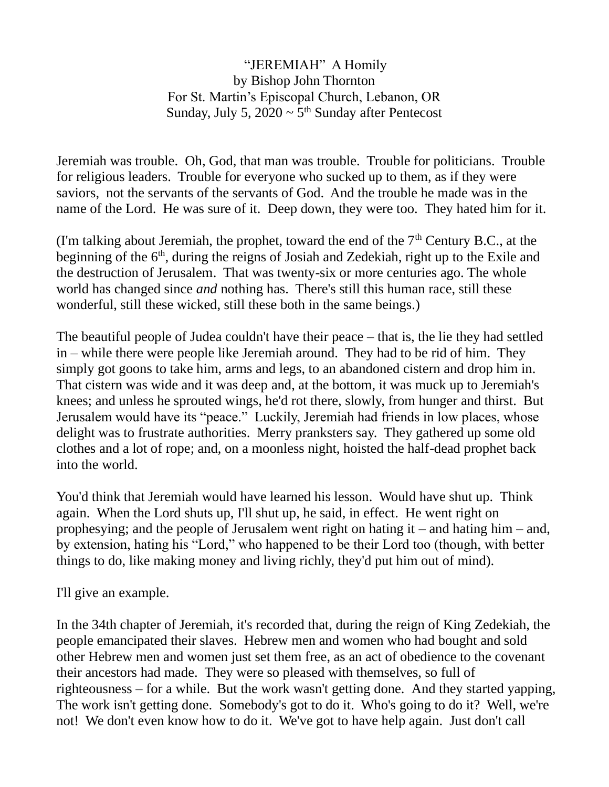## "JEREMIAH" A Homily by Bishop John Thornton For St. Martin's Episcopal Church, Lebanon, OR Sunday, July 5,  $2020 \sim 5^{th}$  Sunday after Pentecost

Jeremiah was trouble. Oh, God, that man was trouble. Trouble for politicians. Trouble for religious leaders. Trouble for everyone who sucked up to them, as if they were saviors, not the servants of the servants of God. And the trouble he made was in the name of the Lord. He was sure of it. Deep down, they were too. They hated him for it.

(I'm talking about Jeremiah, the prophet, toward the end of the  $7<sup>th</sup>$  Century B.C., at the beginning of the 6<sup>th</sup>, during the reigns of Josiah and Zedekiah, right up to the Exile and the destruction of Jerusalem. That was twenty-six or more centuries ago. The whole world has changed since *and* nothing has. There's still this human race, still these wonderful, still these wicked, still these both in the same beings.)

The beautiful people of Judea couldn't have their peace – that is, the lie they had settled in – while there were people like Jeremiah around. They had to be rid of him. They simply got goons to take him, arms and legs, to an abandoned cistern and drop him in. That cistern was wide and it was deep and, at the bottom, it was muck up to Jeremiah's knees; and unless he sprouted wings, he'd rot there, slowly, from hunger and thirst. But Jerusalem would have its "peace." Luckily, Jeremiah had friends in low places, whose delight was to frustrate authorities. Merry pranksters say. They gathered up some old clothes and a lot of rope; and, on a moonless night, hoisted the half-dead prophet back into the world.

You'd think that Jeremiah would have learned his lesson. Would have shut up. Think again. When the Lord shuts up, I'll shut up, he said, in effect. He went right on prophesying; and the people of Jerusalem went right on hating it – and hating him – and, by extension, hating his "Lord," who happened to be their Lord too (though, with better things to do, like making money and living richly, they'd put him out of mind).

I'll give an example.

In the 34th chapter of Jeremiah, it's recorded that, during the reign of King Zedekiah, the people emancipated their slaves. Hebrew men and women who had bought and sold other Hebrew men and women just set them free, as an act of obedience to the covenant their ancestors had made. They were so pleased with themselves, so full of righteousness – for a while. But the work wasn't getting done. And they started yapping, The work isn't getting done. Somebody's got to do it. Who's going to do it? Well, we're not! We don't even know how to do it. We've got to have help again. Just don't call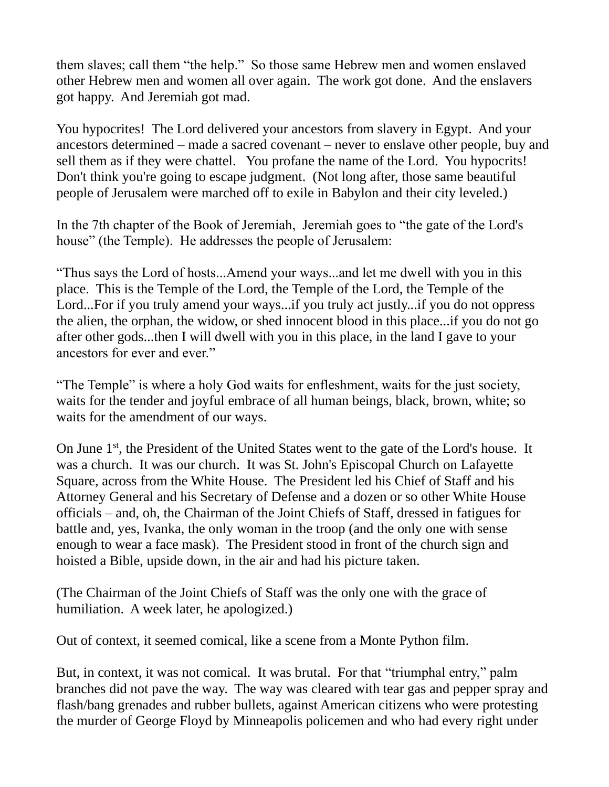them slaves; call them "the help." So those same Hebrew men and women enslaved other Hebrew men and women all over again. The work got done. And the enslavers got happy. And Jeremiah got mad.

You hypocrites! The Lord delivered your ancestors from slavery in Egypt. And your ancestors determined – made a sacred covenant – never to enslave other people, buy and sell them as if they were chattel. You profane the name of the Lord. You hypocrits! Don't think you're going to escape judgment. (Not long after, those same beautiful people of Jerusalem were marched off to exile in Babylon and their city leveled.)

In the 7th chapter of the Book of Jeremiah, Jeremiah goes to "the gate of the Lord's house" (the Temple). He addresses the people of Jerusalem:

"Thus says the Lord of hosts...Amend your ways...and let me dwell with you in this place. This is the Temple of the Lord, the Temple of the Lord, the Temple of the Lord...For if you truly amend your ways...if you truly act justly...if you do not oppress the alien, the orphan, the widow, or shed innocent blood in this place...if you do not go after other gods...then I will dwell with you in this place, in the land I gave to your ancestors for ever and ever."

"The Temple" is where a holy God waits for enfleshment, waits for the just society, waits for the tender and joyful embrace of all human beings, black, brown, white; so waits for the amendment of our ways.

On June 1<sup>st</sup>, the President of the United States went to the gate of the Lord's house. It was a church. It was our church. It was St. John's Episcopal Church on Lafayette Square, across from the White House. The President led his Chief of Staff and his Attorney General and his Secretary of Defense and a dozen or so other White House officials – and, oh, the Chairman of the Joint Chiefs of Staff, dressed in fatigues for battle and, yes, Ivanka, the only woman in the troop (and the only one with sense enough to wear a face mask). The President stood in front of the church sign and hoisted a Bible, upside down, in the air and had his picture taken.

(The Chairman of the Joint Chiefs of Staff was the only one with the grace of humiliation. A week later, he apologized.)

Out of context, it seemed comical, like a scene from a Monte Python film.

But, in context, it was not comical. It was brutal. For that "triumphal entry," palm branches did not pave the way. The way was cleared with tear gas and pepper spray and flash/bang grenades and rubber bullets, against American citizens who were protesting the murder of George Floyd by Minneapolis policemen and who had every right under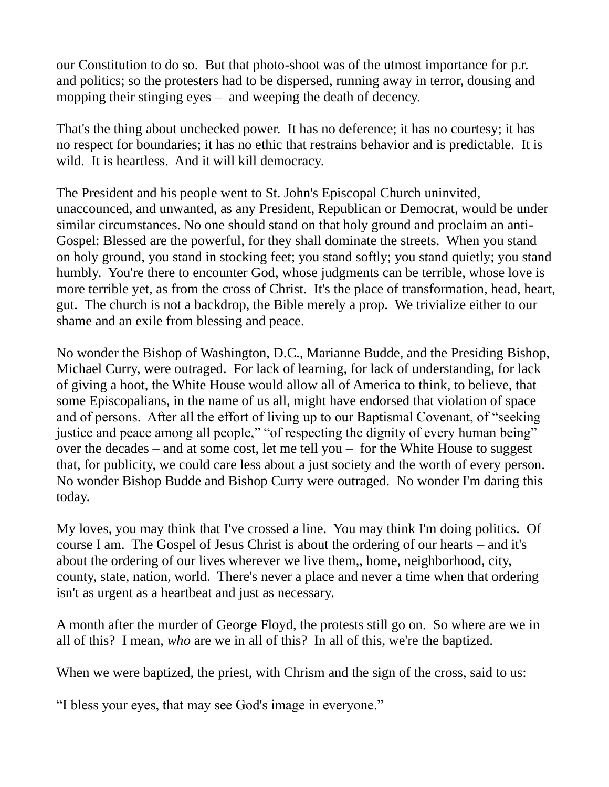our Constitution to do so. But that photo-shoot was of the utmost importance for p.r. and politics; so the protesters had to be dispersed, running away in terror, dousing and mopping their stinging eyes – and weeping the death of decency.

That's the thing about unchecked power. It has no deference; it has no courtesy; it has no respect for boundaries; it has no ethic that restrains behavior and is predictable. It is wild. It is heartless. And it will kill democracy.

The President and his people went to St. John's Episcopal Church uninvited, unaccounced, and unwanted, as any President, Republican or Democrat, would be under similar circumstances. No one should stand on that holy ground and proclaim an anti-Gospel: Blessed are the powerful, for they shall dominate the streets. When you stand on holy ground, you stand in stocking feet; you stand softly; you stand quietly; you stand humbly. You're there to encounter God, whose judgments can be terrible, whose love is more terrible yet, as from the cross of Christ. It's the place of transformation, head, heart, gut. The church is not a backdrop, the Bible merely a prop. We trivialize either to our shame and an exile from blessing and peace.

No wonder the Bishop of Washington, D.C., Marianne Budde, and the Presiding Bishop, Michael Curry, were outraged. For lack of learning, for lack of understanding, for lack of giving a hoot, the White House would allow all of America to think, to believe, that some Episcopalians, in the name of us all, might have endorsed that violation of space and of persons. After all the effort of living up to our Baptismal Covenant, of "seeking justice and peace among all people," "of respecting the dignity of every human being" over the decades – and at some cost, let me tell you – for the White House to suggest that, for publicity, we could care less about a just society and the worth of every person. No wonder Bishop Budde and Bishop Curry were outraged. No wonder I'm daring this today.

My loves, you may think that I've crossed a line. You may think I'm doing politics. Of course I am. The Gospel of Jesus Christ is about the ordering of our hearts – and it's about the ordering of our lives wherever we live them,, home, neighborhood, city, county, state, nation, world. There's never a place and never a time when that ordering isn't as urgent as a heartbeat and just as necessary.

A month after the murder of George Floyd, the protests still go on. So where are we in all of this? I mean, *who* are we in all of this? In all of this, we're the baptized.

When we were baptized, the priest, with Chrism and the sign of the cross, said to us:

"I bless your eyes, that may see God's image in everyone."